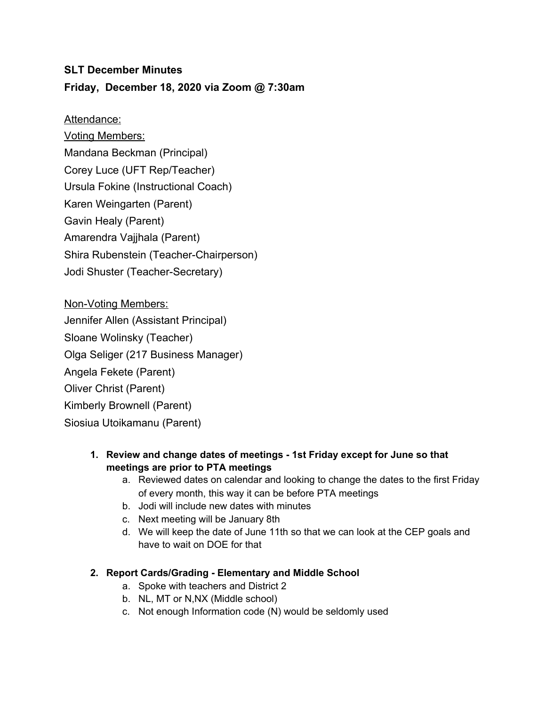### **SLT December Minutes**

## **Friday, December 18, 2020 via Zoom @ 7:30am**

#### Attendance:

Voting Members: Mandana Beckman (Principal) Corey Luce (UFT Rep/Teacher) Ursula Fokine (Instructional Coach) Karen Weingarten (Parent) Gavin Healy (Parent) Amarendra Vajjhala (Parent) Shira Rubenstein (Teacher-Chairperson) Jodi Shuster (Teacher-Secretary)

Non-Voting Members: Jennifer Allen (Assistant Principal) Sloane Wolinsky (Teacher) Olga Seliger (217 Business Manager) Angela Fekete (Parent) Oliver Christ (Parent) Kimberly Brownell (Parent) Siosiua Utoikamanu (Parent)

#### **1. Review and change dates of meetings - 1st Friday except for June so that meetings are prior to PTA meetings**

- a. Reviewed dates on calendar and looking to change the dates to the first Friday of every month, this way it can be before PTA meetings
- b. Jodi will include new dates with minutes
- c. Next meeting will be January 8th
- d. We will keep the date of June 11th so that we can look at the CEP goals and have to wait on DOE for that

### **2. Report Cards/Grading - Elementary and Middle School**

- a. Spoke with teachers and District 2
- b. NL, MT or N,NX (Middle school)
- c. Not enough Information code (N) would be seldomly used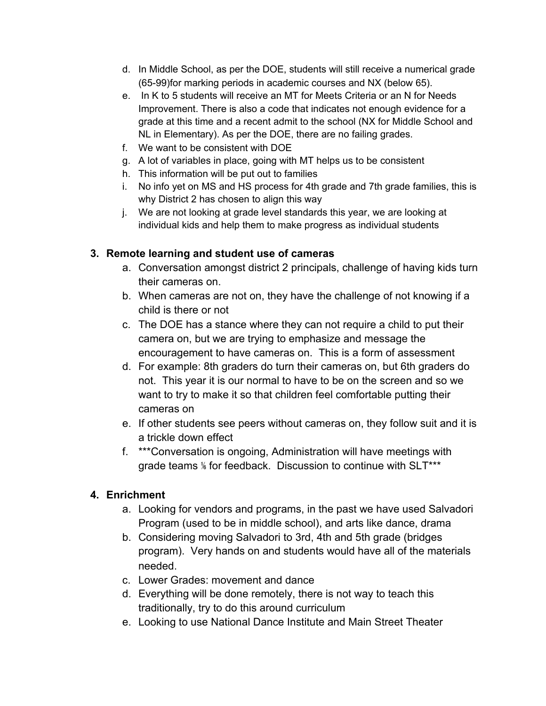- d. In Middle School, as per the DOE, students will still receive a numerical grade (65-99)for marking periods in academic courses and NX (below 65).
- e. In K to 5 students will receive an MT for Meets Criteria or an N for Needs Improvement. There is also a code that indicates not enough evidence for a grade at this time and a recent admit to the school (NX for Middle School and NL in Elementary). As per the DOE, there are no failing grades.
- f. We want to be consistent with DOE
- g. A lot of variables in place, going with MT helps us to be consistent
- h. This information will be put out to families
- i. No info yet on MS and HS process for 4th grade and 7th grade families, this is why District 2 has chosen to align this way
- j. We are not looking at grade level standards this year, we are looking at individual kids and help them to make progress as individual students

## **3. Remote learning and student use of cameras**

- a. Conversation amongst district 2 principals, challenge of having kids turn their cameras on.
- b. When cameras are not on, they have the challenge of not knowing if a child is there or not
- c. The DOE has a stance where they can not require a child to put their camera on, but we are trying to emphasize and message the encouragement to have cameras on. This is a form of assessment
- d. For example: 8th graders do turn their cameras on, but 6th graders do not. This year it is our normal to have to be on the screen and so we want to try to make it so that children feel comfortable putting their cameras on
- e. If other students see peers without cameras on, they follow suit and it is a trickle down effect
- f. \*\*\*Conversation is ongoing, Administration will have meetings with grade teams % for feedback. Discussion to continue with SLT\*\*\*

# **4. Enrichment**

- a. Looking for vendors and programs, in the past we have used Salvadori Program (used to be in middle school), and arts like dance, drama
- b. Considering moving Salvadori to 3rd, 4th and 5th grade (bridges program). Very hands on and students would have all of the materials needed.
- c. Lower Grades: movement and dance
- d. Everything will be done remotely, there is not way to teach this traditionally, try to do this around curriculum
- e. Looking to use National Dance Institute and Main Street Theater